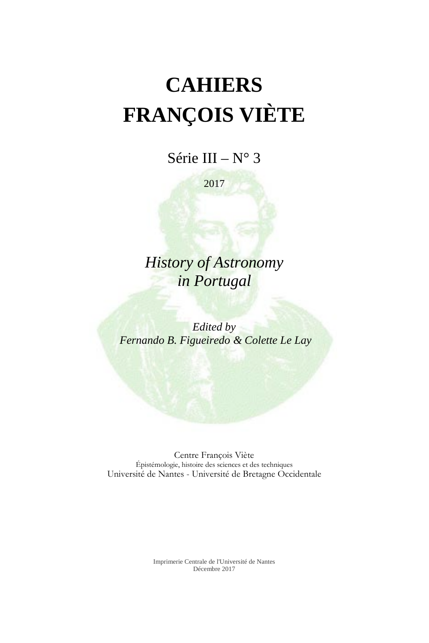# **CAHIERS FRANÇOIS VIÈTE**

Série III –  $N^{\circ}$  3

2017

*History of Astronomy in Portugal*

*Edited by Fernando B. Figueiredo & Colette Le Lay*

Centre François Viète Épistémologie, histoire des sciences et des techniques Université de Nantes - Université de Bretagne Occidentale

> Imprimerie Centrale de l'Université de Nantes Décembre 2017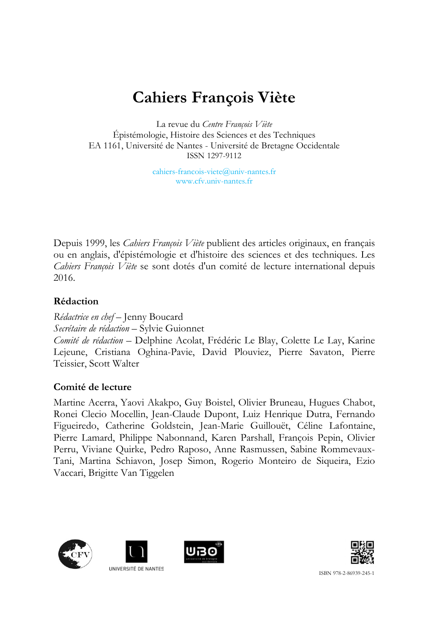# **Cahiers François Viète**

La revue du *Centre François Viète* Épistémologie, Histoire des Sciences et des Techniques EA 1161, Université de Nantes - Université de Bretagne Occidentale ISSN 1297-9112

> cahiers-francois-viete@univ-nantes.fr [www.cfv.univ-nantes.fr](http://www.cfv.univ-nantes.fr/84943886/0/fiche___pagelibre/&RH=1405494683527&RF=1405598162629)

Depuis 1999, les *Cahiers François Viète* publient des articles originaux, en français ou en anglais, d'épistémologie et d'histoire des sciences et des techniques. Les *Cahiers François Viète* se sont dotés d'un comité de lecture international depuis 2016.

# **Rédaction**

*Rédactrice en chef* – Jenny Boucard *Secrétaire de rédaction* – Sylvie Guionnet *Comité de rédaction* – Delphine Acolat, Frédéric Le Blay, Colette Le Lay, Karine Lejeune, Cristiana Oghina-Pavie, David Plouviez, Pierre Savaton, Pierre Teissier, Scott Walter

# **Comité de lecture**

Martine Acerra, Yaovi Akakpo, Guy Boistel, Olivier Bruneau, Hugues Chabot, Ronei Clecio Mocellin, Jean-Claude Dupont, Luiz Henrique Dutra, Fernando Figueiredo, Catherine Goldstein, Jean-Marie Guillouët, Céline Lafontaine, Pierre Lamard, Philippe Nabonnand, Karen Parshall, François Pepin, Olivier Perru, Viviane Quirke, Pedro Raposo, Anne Rasmussen, Sabine Rommevaux-Tani, Martina Schiavon, Josep Simon, Rogerio Monteiro de Siqueira, Ezio Vaccari, Brigitte Van Tiggelen









UNIVERSITÉ DE NANTES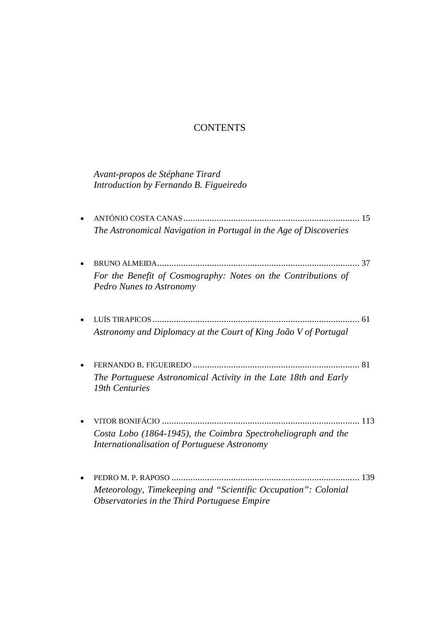# **CONTENTS**

*Avant-propos de Stéphane Tirard Introduction by Fernando B. Figueiredo*

| For the Benefit of Cosmography: Notes on the Contributions of<br><b>Pedro Nunes to Astronomy</b>              |                                                                   |
|---------------------------------------------------------------------------------------------------------------|-------------------------------------------------------------------|
|                                                                                                               |                                                                   |
| Astronomy and Diplomacy at the Court of King João V of Portugal                                               |                                                                   |
|                                                                                                               |                                                                   |
| The Portuguese Astronomical Activity in the Late 18th and Early<br>19th Centuries                             |                                                                   |
|                                                                                                               |                                                                   |
| Costa Lobo (1864-1945), the Coimbra Spectroheliograph and the<br>Internationalisation of Portuguese Astronomy |                                                                   |
|                                                                                                               | 139                                                               |
|                                                                                                               | The Astronomical Navigation in Portugal in the Age of Discoveries |

*Meteorology, Timekeeping and "Scientific Occupation": Colonial Observatories in the Third Portuguese Empire*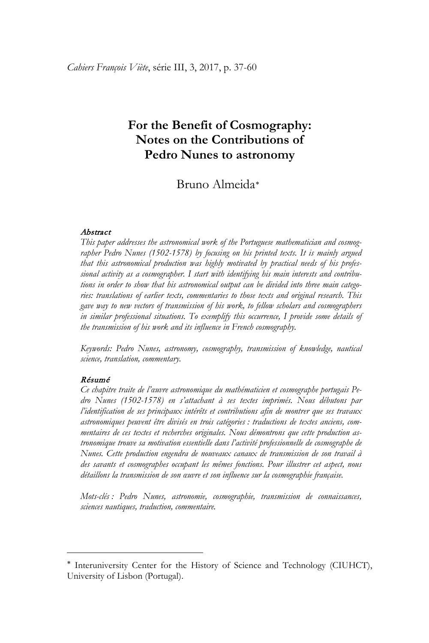# **For the Benefit of Cosmography: Notes on the Contributions of Pedro Nunes to astronomy**

# Bruno Almeida[∗](#page-3-0)

#### Abstract

*This paper addresses the astronomical work of the Portuguese mathematician and cosmographer Pedro Nunes (1502-1578) by focusing on his printed texts. It is mainly argued that this astronomical production was highly motivated by practical needs of his professional activity as a cosmographer. I start with identifying his main interests and contributions in order to show that his astronomical output can be divided into three main categories: translations of earlier texts, commentaries to those texts and original research. This gave way to new vectors of transmission of his work, to fellow scholars and cosmographers in similar professional situations. To exemplify this occurrence, I provide some details of the transmission of his work and its influence in French cosmography.* 

*Keywords: Pedro Nunes, astronomy, cosmography, transmission of knowledge, nautical science, translation, commentary.* 

#### Résumé

 $\overline{a}$ 

*Ce chapitre traite de l'œuvre astronomique du mathématicien et cosmographe portugais Pedro Nunes (1502-1578) en s'attachant à ses textes imprimés. Nous débutons par l'identification de ses principaux intérêts et contributions afin de montrer que ses travaux astronomiques peuvent être divisés en trois catégories : traductions de textes anciens, commentaires de ces textes et recherches originales. Nous démontrons que cette production astronomique trouve sa motivation essentielle dans l'activité professionnelle de cosmographe de Nunes. Cette production engendra de nouveaux canaux de transmission de son travail à des savants et cosmographes occupant les mêmes fonctions. Pour illustrer cet aspect, nous détaillons la transmission de son œuvre et son influence sur la cosmographie française.*

*Mots-clés : Pedro Nunes, astronomie, cosmographie, transmission de connaissances, sciences nautiques, traduction, commentaire.*

<span id="page-3-0"></span><sup>∗</sup> Interuniversity Center for the History of Science and Technology (CIUHCT), University of Lisbon (Portugal).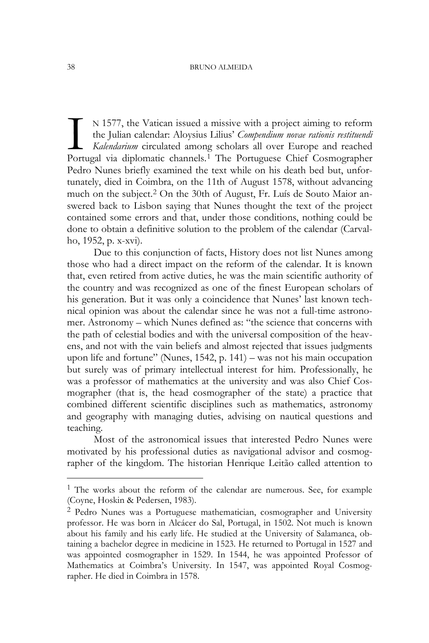N 1577, the Vatican issued a missive with a project aiming to reform the Julian calendar: Aloysius Lilius' *Compendium novae rationis restituendi Kalendarium* circulated among scholars all over Europe and reached N [1](#page-4-0)577, the Vatican issued a missive with a project aiming to reform<br>the Julian calendar: Aloysius Lilius' *Compendium novae rationis restituendi*<br>Kalendarium circulated among scholars all over Europe and reached<br>Portugal Pedro Nunes briefly examined the text while on his death bed but, unfortunately, died in Coimbra, on the 11th of August 1578, without advancing much on the subject.[2](#page-4-1) On the 30th of August, Fr. Luís de Souto Maior answered back to Lisbon saying that Nunes thought the text of the project contained some errors and that, under those conditions, nothing could be done to obtain a definitive solution to the problem of the calendar (Carvalho, 1952, p. x-xvi).

Due to this conjunction of facts, History does not list Nunes among those who had a direct impact on the reform of the calendar. It is known that, even retired from active duties, he was the main scientific authority of the country and was recognized as one of the finest European scholars of his generation. But it was only a coincidence that Nunes' last known technical opinion was about the calendar since he was not a full-time astronomer. Astronomy – which Nunes defined as: "the science that concerns with the path of celestial bodies and with the universal composition of the heavens, and not with the vain beliefs and almost rejected that issues judgments upon life and fortune" (Nunes, 1542, p. 141) – was not his main occupation but surely was of primary intellectual interest for him. Professionally, he was a professor of mathematics at the university and was also Chief Cosmographer (that is, the head cosmographer of the state) a practice that combined different scientific disciplines such as mathematics, astronomy and geography with managing duties, advising on nautical questions and teaching.

Most of the astronomical issues that interested Pedro Nunes were motivated by his professional duties as navigational advisor and cosmographer of the kingdom. The historian Henrique Leitão called attention to

<span id="page-4-0"></span><sup>&</sup>lt;sup>1</sup> The works about the reform of the calendar are numerous. See, for example (Coyne, Hoskin & Pedersen, 1983).

<span id="page-4-1"></span><sup>2</sup> Pedro Nunes was a Portuguese mathematician, cosmographer and University professor. He was born in Alcácer do Sal, Portugal, in 1502. Not much is known about his family and his early life. He studied at the University of Salamanca, obtaining a bachelor degree in medicine in 1523. He returned to Portugal in 1527 and was appointed cosmographer in 1529. In 1544, he was appointed Professor of Mathematics at Coimbra's University. In 1547, was appointed Royal Cosmographer. He died in Coimbra in 1578.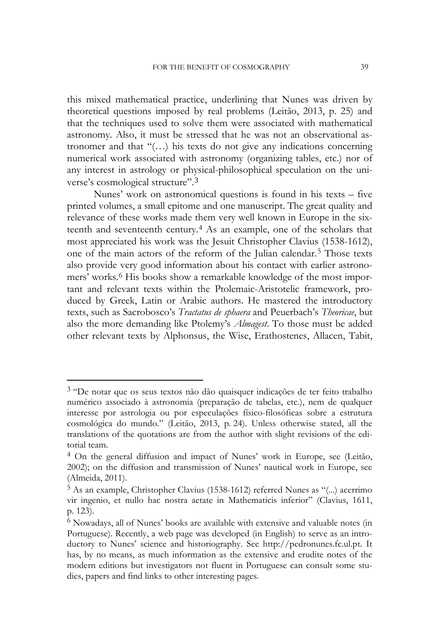this mixed mathematical practice, underlining that Nunes was driven by theoretical questions imposed by real problems (Leitão, 2013, p. 25) and that the techniques used to solve them were associated with mathematical astronomy. Also, it must be stressed that he was not an observational astronomer and that "(…) his texts do not give any indications concerning numerical work associated with astronomy (organizing tables, etc.) nor of any interest in astrology or physical-philosophical speculation on the universe's cosmological structure".[3](#page-5-0)

Nunes' work on astronomical questions is found in his texts – five printed volumes, a small epitome and one manuscript. The great quality and relevance of these works made them very well known in Europe in the sixteenth and seventeenth century.[4](#page-5-0) As an example, one of the scholars that most appreciated his work was the Jesuit Christopher Clavius (1538-1612), one of the main actors of the reform of the Julian calendar.[5](#page-5-0) Those texts also provide very good information about his contact with earlier astronomers' works.[6](#page-5-0) His books show a remarkable knowledge of the most important and relevant texts within the Ptolemaic-Aristotelic framework, produced by Greek, Latin or Arabic authors. He mastered the introductory texts, such as Sacrobosco's *Tractatus de sphaera* and Peuerbach's *Theoricae*, but also the more demanding like Ptolemy's *Almagest*. To those must be added other relevant texts by Alphonsus, the Wise, Erathostenes, Allacen, Tabit,

1

<span id="page-5-0"></span><sup>3</sup> "De notar que os seus textos não dão quaisquer indicações de ter feito trabalho numérico associado à astronomia (preparação de tabelas, etc.), nem de qualquer interesse por astrologia ou por especulações físico-filosóficas sobre a estrutura cosmológica do mundo." (Leitão, 2013, p. 24). Unless otherwise stated, all the translations of the quotations are from the author with slight revisions of the editorial team.

<sup>4</sup> On the general diffusion and impact of Nunes' work in Europe, see (Leitão, 2002); on the diffusion and transmission of Nunes' nautical work in Europe, see (Almeida, 2011).

<sup>5</sup> As an example, Christopher Clavius (1538-1612) referred Nunes as "(...) acerrimo vir ingenio, et nullo hac nostra aetate in Mathematicis inferior" (Clavius, 1611, p. 123).

<sup>6</sup> Nowadays, all of Nunes' books are available with extensive and valuable notes (in Portuguese). Recently, a web page was developed (in English) to serve as an introductory to Nunes' science and historiography. See http://pedronunes.fc.ul.pt. It has, by no means, as much information as the extensive and erudite notes of the modern editions but investigators not fluent in Portuguese can consult some studies, papers and find links to other interesting pages.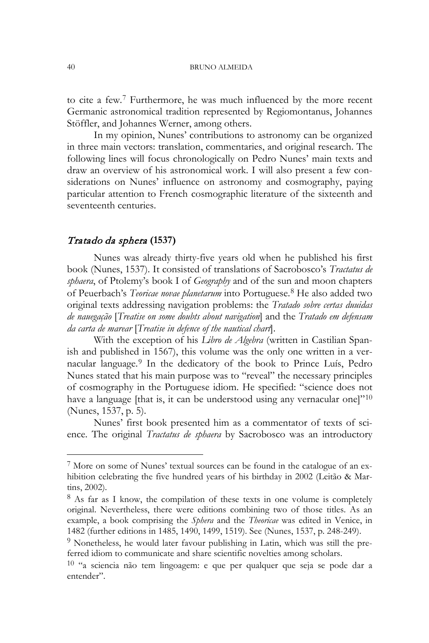to cite a few.[7](#page-6-0) Furthermore, he was much influenced by the more recent Germanic astronomical tradition represented by Regiomontanus, Johannes Stöffler, and Johannes Werner, among others.

In my opinion, Nunes' contributions to astronomy can be organized in three main vectors: translation, commentaries, and original research. The following lines will focus chronologically on Pedro Nunes' main texts and draw an overview of his astronomical work. I will also present a few considerations on Nunes' influence on astronomy and cosmography, paying particular attention to French cosmographic literature of the sixteenth and seventeenth centuries.

#### Tratado da sphera **(1537)**

Nunes was already thirty-five years old when he published his first book (Nunes, 1537). It consisted of translations of Sacrobosco's *Tractatus de sphaera*, of Ptolemy's book I of *Geography* and of the sun and moon chapters of Peuerbach's *Teoricae novae planetarum* into Portuguese. [8](#page-6-0) He also added two original texts addressing navigation problems: the *Tratado sobre certas duuidas de nauegação* [*Treatise on some doubts about navigation*] and the *Tratado em defensam da carta de marear* [*Treatise in defence of the nautical chart*].

With the exception of his *Libro de Algebra* (written in Castilian Spanish and published in 1567), this volume was the only one written in a vernacular language.[9](#page-6-0) In the dedicatory of the book to Prince Luís, Pedro Nunes stated that his main purpose was to "reveal" the necessary principles of cosmography in the Portuguese idiom. He specified: "science does not have a language [that is, it can be understood using any vernacular one] $10$ (Nunes, 1537, p. 5).

Nunes' first book presented him as a commentator of texts of science. The original *Tractatus de sphaera* by Sacrobosco was an introductory

<span id="page-6-0"></span><sup>7</sup> More on some of Nunes' textual sources can be found in the catalogue of an exhibition celebrating the five hundred years of his birthday in 2002 (Leitão & Martins, 2002).  $8$  As far as I know, the compilation of these texts in one volume is completely

original. Nevertheless, there were editions combining two of those titles. As an example, a book comprising the *Sphera* and the *Theoricae* was edited in Venice, in 1482 (further editions in 1485, 1490, 1499, 1519). See (Nunes, 1537, p. 248-249).

<sup>&</sup>lt;sup>9</sup> Nonetheless, he would later favour publishing in Latin, which was still the preferred idiom to communicate and share scientific novelties among scholars.

 $10$  "a sciencia não tem lingoagem: e que per qualquer que seja se pode dar a entender".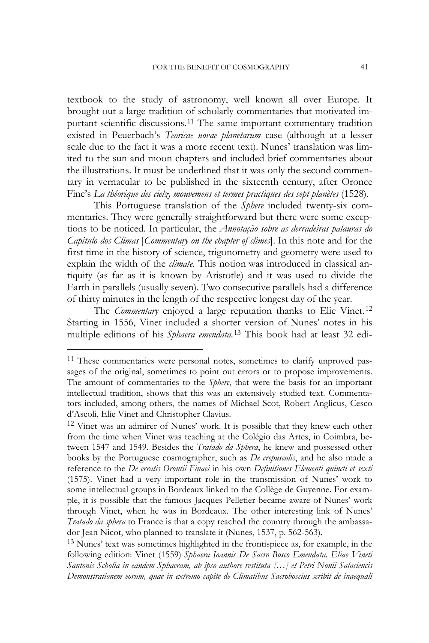textbook to the study of astronomy, well known all over Europe. It brought out a large tradition of scholarly commentaries that motivated important scientific discussions.[11](#page-7-0) The same important commentary tradition existed in Peuerbach's *Teoricae novae planetarum* case (although at a lesser scale due to the fact it was a more recent text). Nunes' translation was limited to the sun and moon chapters and included brief commentaries about the illustrations. It must be underlined that it was only the second commentary in vernacular to be published in the sixteenth century, after Oronce Fine's *La théorique des cielz, mouvemens et termes practiques des sept planètes* (1528).

This Portuguese translation of the *Sphere* included twenty-six commentaries. They were generally straightforward but there were some exceptions to be noticed. In particular, the *Annotação sobre as derradeiras palauras do Capitulo dos Climas* [*Commentary on the chapter of climes*]. In this note and for the first time in the history of science, trigonometry and geometry were used to explain the width of the *climate*. This notion was introduced in classical antiquity (as far as it is known by Aristotle) and it was used to divide the Earth in parallels (usually seven). Two consecutive parallels had a difference of thirty minutes in the length of the respective longest day of the year.

The *Commentary* enjoyed a large reputation thanks to Elie Vinet.<sup>[12](#page-7-0)</sup> Starting in 1556, Vinet included a shorter version of Nunes' notes in his multiple editions of his *Sphaera emendata.* [13](#page-7-0) This book had at least 32 edi-

<span id="page-7-0"></span><sup>&</sup>lt;sup>11</sup> These commentaries were personal notes, sometimes to clarify unproved passages of the original, sometimes to point out errors or to propose improvements. The amount of commentaries to the *Sphere*, that were the basis for an important intellectual tradition, shows that this was an extensively studied text. Commentators included, among others, the names of Michael Scot, Robert Anglicus, Cesco d'Ascoli, Elie Vinet and Christopher Clavius.

<sup>&</sup>lt;sup>12</sup> Vinet was an admirer of Nunes' work. It is possible that they knew each other from the time when Vinet was teaching at the Colégio das Artes, in Coimbra, between 1547 and 1549. Besides the *Tratado da Sphera*, he knew and possessed other books by the Portuguese cosmographer, such as *De crepusculis*, and he also made a reference to the *De erratis Orontii Finaei* in his own *Definitiones Elementi quincti et sexti* (1575). Vinet had a very important role in the transmission of Nunes' work to some intellectual groups in Bordeaux linked to the Collège de Guyenne. For example, it is possible that the famous Jacques Pelletier became aware of Nunes' work through Vinet, when he was in Bordeaux. The other interesting link of Nunes' *Tratado da sphera* to France is that a copy reached the country through the ambassador Jean Nicot, who planned to translate it (Nunes, 1537, p. 562-563).

<sup>13</sup> Nunes' text was sometimes highlighted in the frontispiece as, for example, in the following edition: Vinet (1559) *Sphaera Ioannis De Sacro Bosco Emendata. Eliae Vineti Santonis Scholia in eandem Sphaeram, ab ipso authore restituta […] et Petri Nonii Salaciencis Demonstrationem eorum, quae in extremo capite de Climatibus Sacroboscius scribit de inaequali*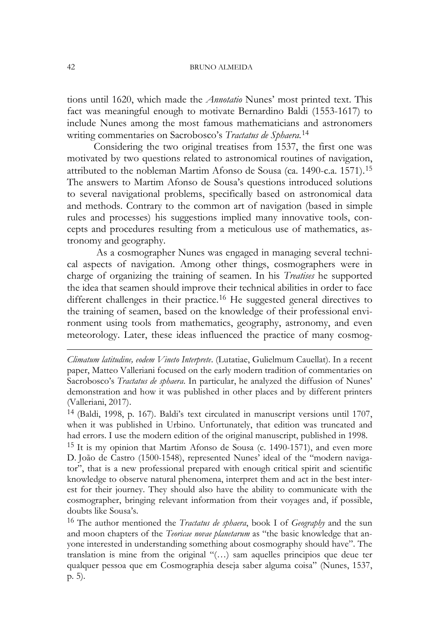tions until 1620, which made the *Annotatio* Nunes' most printed text. This fact was meaningful enough to motivate Bernardino Baldi (1553-1617) to include Nunes among the most famous mathematicians and astronomers writing commentaries on Sacrobosco's *Tractatus de Sphaera*.[14](#page-8-0)

Considering the two original treatises from 1537, the first one was motivated by two questions related to astronomical routines of navigation, attributed to the nobleman Martim Afonso de Sousa (ca. 1490-c.a. [15](#page-8-0)71).<sup>15</sup> The answers to Martim Afonso de Sousa's questions introduced solutions to several navigational problems, specifically based on astronomical data and methods. Contrary to the common art of navigation (based in simple rules and processes) his suggestions implied many innovative tools, concepts and procedures resulting from a meticulous use of mathematics, astronomy and geography.

As a cosmographer Nunes was engaged in managing several technical aspects of navigation. Among other things, cosmographers were in charge of organizing the training of seamen. In his *Treatises* he supported the idea that seamen should improve their technical abilities in order to face different challenges in their practice.<sup>[16](#page-8-0)</sup> He suggested general directives to the training of seamen, based on the knowledge of their professional environment using tools from mathematics, geography, astronomy, and even meteorology. Later, these ideas influenced the practice of many cosmog-

 $15$  It is my opinion that Martim Afonso de Sousa (c. 1490-1571), and even more D. João de Castro (1500-1548), represented Nunes' ideal of the "modern navigator", that is a new professional prepared with enough critical spirit and scientific knowledge to observe natural phenomena, interpret them and act in the best interest for their journey. They should also have the ability to communicate with the cosmographer, bringing relevant information from their voyages and, if possible, doubts like Sousa's.

<sup>16</sup> The author mentioned the *Tractatus de sphaera*, book I of *Geography* and the sun and moon chapters of the *Teoricae novae planetarum* as "the basic knowledge that anyone interested in understanding something about cosmography should have". The translation is mine from the original "(…) sam aquelles principios que deue ter qualquer pessoa que em Cosmographia deseja saber alguma coisa" (Nunes, 1537, p. 5).

<span id="page-8-0"></span>*Climatum latitudine, eodem Vineto Interprete*. (Lutatiae, Gulielmum Cauellat). In a recent paper, Matteo Valleriani focused on the early modern tradition of commentaries on Sacrobosco's *Tractatus de sphaera*. In particular, he analyzed the diffusion of Nunes' demonstration and how it was published in other places and by different printers (Valleriani, 2017).

<sup>14</sup> (Baldi, 1998, p. 167). Baldi's text circulated in manuscript versions until 1707, when it was published in Urbino. Unfortunately, that edition was truncated and had errors. I use the modern edition of the original manuscript, published in 1998.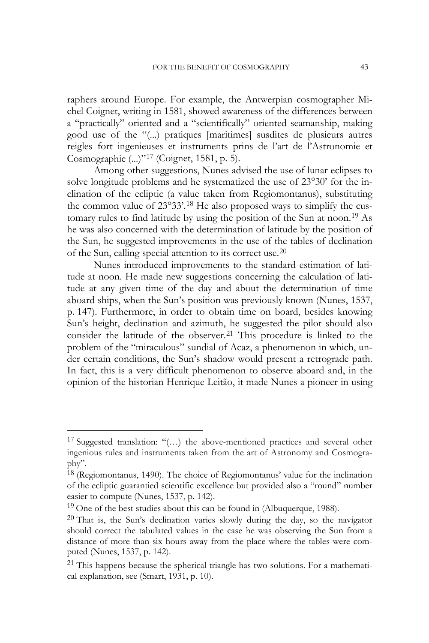raphers around Europe. For example, the Antwerpian cosmographer Michel Coignet, writing in 1581, showed awareness of the differences between a "practically" oriented and a "scientifically" oriented seamanship, making good use of the "(...) pratiques [maritimes] susdites de plusieurs autres reigles fort ingenieuses et instruments prins de l'art de l'Astronomie et Cosmographie (...)"[17](#page-9-0) (Coignet, 1581, p. 5).

Among other suggestions, Nunes advised the use of lunar eclipses to solve longitude problems and he systematized the use of 23°30' for the inclination of the ecliptic (a value taken from Regiomontanus), substituting the common value of 23°33'.[18](#page-9-0) He also proposed ways to simplify the cus-tomary rules to find latitude by using the position of the Sun at noon.<sup>[19](#page-9-0)</sup> As he was also concerned with the determination of latitude by the position of the Sun, he suggested improvements in the use of the tables of declination of the Sun, calling special attention to its correct use.[20](#page-9-0)

Nunes introduced improvements to the standard estimation of latitude at noon. He made new suggestions concerning the calculation of latitude at any given time of the day and about the determination of time aboard ships, when the Sun's position was previously known (Nunes, 1537, p. 147). Furthermore, in order to obtain time on board, besides knowing Sun's height, declination and azimuth, he suggested the pilot should also consider the latitude of the observer.<sup>[21](#page-9-0)</sup> This procedure is linked to the problem of the "miraculous" sundial of Acaz, a phenomenon in which, under certain conditions, the Sun's shadow would present a retrograde path. In fact, this is a very difficult phenomenon to observe aboard and, in the opinion of the historian Henrique Leitão, it made Nunes a pioneer in using

1

<span id="page-9-0"></span><sup>&</sup>lt;sup>17</sup> Suggested translation: " $(...)$  the above-mentioned practices and several other ingenious rules and instruments taken from the art of Astronomy and Cosmography".

<sup>&</sup>lt;sup>18</sup> (Regiomontanus, 1490). The choice of Regiomontanus' value for the inclination of the ecliptic guarantied scientific excellence but provided also a "round" number easier to compute (Nunes, 1537, p. 142).

 $19$  One of the best studies about this can be found in (Albuquerque, 1988).

 $20$  That is, the Sun's declination varies slowly during the day, so the navigator should correct the tabulated values in the case he was observing the Sun from a distance of more than six hours away from the place where the tables were computed (Nunes, 1537, p. 142).

 $21$  This happens because the spherical triangle has two solutions. For a mathematical explanation, see (Smart, 1931, p. 10).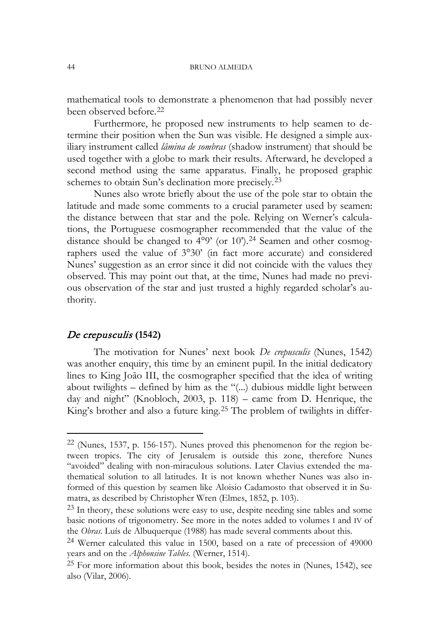mathematical tools to demonstrate a phenomenon that had possibly never been observed before.[22](#page-10-0)

Furthermore, he proposed new instruments to help seamen to determine their position when the Sun was visible. He designed a simple auxiliary instrument called *lâmina de sombras* (shadow instrument) that should be used together with a globe to mark their results. Afterward, he developed a second method using the same apparatus. Finally, he proposed graphic schemes to obtain Sun's declination more precisely.[23](#page-10-0)

Nunes also wrote briefly about the use of the pole star to obtain the latitude and made some comments to a crucial parameter used by seamen: the distance between that star and the pole. Relying on Werner's calculations, the Portuguese cosmographer recommended that the value of the distance should be changed to  $4^{\circ}$ 9' (or 10').<sup>24</sup> Seamen and other cosmographers used the value of 3°30' (in fact more accurate) and considered Nunes' suggestion as an error since it did not coincide with the values they observed. This may point out that, at the time, Nunes had made no previous observation of the star and just trusted a highly regarded scholar's authority.

#### De crepusculis **(1542)**

1

The motivation for Nunes' next book *De crepusculis* (Nunes, 1542) was another enquiry, this time by an eminent pupil. In the initial dedicatory lines to King João III, the cosmographer specified that the idea of writing about twilights – defined by him as the "(...) dubious middle light between day and night" (Knobloch, 2003, p. 118) – came from D. Henrique, the King's brother and also a future king.<sup>[25](#page-10-0)</sup> The problem of twilights in differ-

<span id="page-10-0"></span> $22$  (Nunes, 1537, p. 156-157). Nunes proved this phenomenon for the region between tropics. The city of Jerusalem is outside this zone, therefore Nunes "avoided" dealing with non-miraculous solutions. Later Clavius extended the mathematical solution to all latitudes. It is not known whether Nunes was also informed of this question by seamen like Aloisio Cadamosto that observed it in Sumatra, as described by Christopher Wren (Elmes, 1852, p. 103).

<sup>23</sup> In theory, these solutions were easy to use, despite needing sine tables and some basic notions of trigonometry. See more in the notes added to volumes I and IV of the *Obras*. Luís de Albuquerque (1988) has made several comments about this.

<sup>24</sup> Werner calculated this value in 1500, based on a rate of precession of 49000 years and on the *Alphonsine Tables*. (Werner, 1514).

<sup>25</sup> For more information about this book, besides the notes in (Nunes, 1542), see also (Vilar, 2006).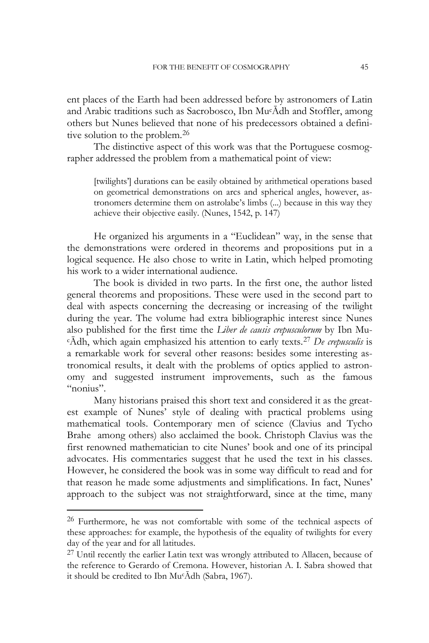ent places of the Earth had been addressed before by astronomers of Latin and Arabic traditions such as Sacrobosco, Ibn MucĀdh and Stoffler, among others but Nunes believed that none of his predecessors obtained a defini-tive solution to the problem.<sup>[26](#page-11-0)</sup>

The distinctive aspect of this work was that the Portuguese cosmographer addressed the problem from a mathematical point of view:

[twilights'] durations can be easily obtained by arithmetical operations based on geometrical demonstrations on arcs and spherical angles, however, astronomers determine them on astrolabe's limbs (...) because in this way they achieve their objective easily. (Nunes, 1542, p. 147)

He organized his arguments in a "Euclidean" way, in the sense that the demonstrations were ordered in theorems and propositions put in a logical sequence. He also chose to write in Latin, which helped promoting his work to a wider international audience.

The book is divided in two parts. In the first one, the author listed general theorems and propositions. These were used in the second part to deal with aspects concerning the decreasing or increasing of the twilight during the year. The volume had extra bibliographic interest since Nunes also published for the first time the *Liber de causis crepusculorum* by Ibn Mu <sup>c</sup>Ādh, which again emphasized his attention to early texts.[27](#page-11-0) *De crepusculis* is a remarkable work for several other reasons: besides some interesting astronomical results, it dealt with the problems of optics applied to astronomy and suggested instrument improvements, such as the famous "nonius".

Many historians praised this short text and considered it as the greatest example of Nunes' style of dealing with practical problems using mathematical tools. Contemporary men of science (Clavius and Tycho Brahe among others) also acclaimed the book. Christoph Clavius was the first renowned mathematician to cite Nunes' book and one of its principal advocates. His commentaries suggest that he used the text in his classes. However, he considered the book was in some way difficult to read and for that reason he made some adjustments and simplifications. In fact, Nunes' approach to the subject was not straightforward, since at the time, many

 $\ddot{\phantom{a}}$ 

<span id="page-11-0"></span><sup>&</sup>lt;sup>26</sup> Furthermore, he was not comfortable with some of the technical aspects of these approaches: for example, the hypothesis of the equality of twilights for every day of the year and for all latitudes.

<sup>&</sup>lt;sup>27</sup> Until recently the earlier Latin text was wrongly attributed to Allacen, because of the reference to Gerardo of Cremona. However, historian A. I. Sabra showed that it should be credited to Ibn MucĀdh (Sabra, 1967).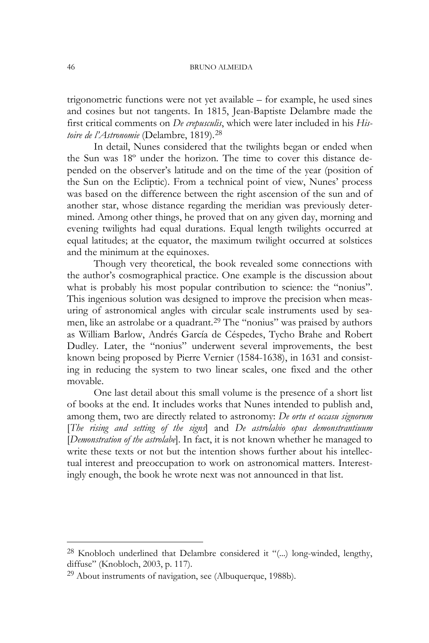trigonometric functions were not yet available – for example, he used sines and cosines but not tangents. In 1815, Jean-Baptiste Delambre made the first critical comments on *De crepusculis*, which were later included in his *Histoire de l'Astronomie* (Delambre, 1819). [28](#page-12-0)

In detail, Nunes considered that the twilights began or ended when the Sun was 18º under the horizon. The time to cover this distance depended on the observer's latitude and on the time of the year (position of the Sun on the Ecliptic). From a technical point of view, Nunes' process was based on the difference between the right ascension of the sun and of another star, whose distance regarding the meridian was previously determined. Among other things, he proved that on any given day, morning and evening twilights had equal durations. Equal length twilights occurred at equal latitudes; at the equator, the maximum twilight occurred at solstices and the minimum at the equinoxes.

Though very theoretical, the book revealed some connections with the author's cosmographical practice. One example is the discussion about what is probably his most popular contribution to science: the "nonius". This ingenious solution was designed to improve the precision when measuring of astronomical angles with circular scale instruments used by sea-men, like an astrolabe or a quadrant.<sup>[29](#page-12-0)</sup> The "nonius" was praised by authors as William Barlow, Andrés García de Céspedes, Tycho Brahe and Robert Dudley. Later, the "nonius" underwent several improvements, the best known being proposed by Pierre Vernier (1584-1638), in 1631 and consisting in reducing the system to two linear scales, one fixed and the other movable.

One last detail about this small volume is the presence of a short list of books at the end. It includes works that Nunes intended to publish and, among them, two are directly related to astronomy: *De ortu et occasu signorum* [*The rising and setting of the signs*] and *De astrolabio opus demonstrantiuum*  [*Demonstration of the astrolabe*]. In fact, it is not known whether he managed to write these texts or not but the intention shows further about his intellectual interest and preoccupation to work on astronomical matters. Interestingly enough, the book he wrote next was not announced in that list.

 $\ddot{\phantom{a}}$ 

<span id="page-12-0"></span><sup>28</sup> Knobloch underlined that Delambre considered it "(...) long-winded, lengthy, diffuse" (Knobloch, 2003, p. 117).

 $29$  About instruments of navigation, see (Albuquerque, 1988b).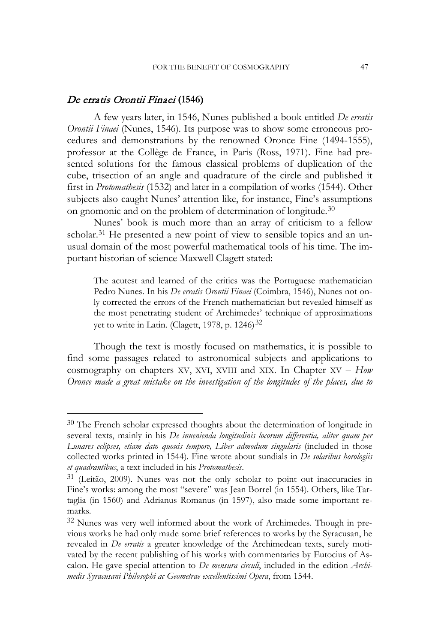# De erratis Orontii Finaei **(1546)**

<u>.</u>

A few years later, in 1546, Nunes published a book entitled *De erratis Orontii Finaei* (Nunes, 1546)*.* Its purpose was to show some erroneous procedures and demonstrations by the renowned Oronce Fine (1494-1555), professor at the Collège de France, in Paris (Ross, 1971). Fine had presented solutions for the famous classical problems of duplication of the cube, trisection of an angle and quadrature of the circle and published it first in *Protomathesis* (1532) and later in a compilation of works (1544). Other subjects also caught Nunes' attention like, for instance, Fine's assumptions on gnomonic and on the problem of determination of longitude.<sup>[30](#page-13-0)</sup>

Nunes' book is much more than an array of criticism to a fellow scholar.<sup>[31](#page-13-0)</sup> He presented a new point of view to sensible topics and an unusual domain of the most powerful mathematical tools of his time. The important historian of science Maxwell Clagett stated:

The acutest and learned of the critics was the Portuguese mathematician Pedro Nunes. In his *De erratis Orontii Finaei* (Coimbra, 1546), Nunes not only corrected the errors of the French mathematician but revealed himself as the most penetrating student of Archimedes' technique of approximations yet to write in Latin. (Clagett, 1978, p.  $1246$ )<sup>[32](#page-13-0)</sup>

Though the text is mostly focused on mathematics, it is possible to find some passages related to astronomical subjects and applications to cosmography on chapters XV, XVI, XVIII and XIX. In Chapter XV – *How Oronce made a great mistake on the investigation of the longitudes of the places, due to* 

<span id="page-13-0"></span><sup>&</sup>lt;sup>30</sup> The French scholar expressed thoughts about the determination of longitude in several texts, mainly in his *De inuenienda longitudinis locorum differentia, aliter quam per Lunares eclipses, etiam dato quouis tempore, Liber admodum singularis* (included in those collected works printed in 1544). Fine wrote about sundials in *De solaribus horologiis et quadrantibus*, a text included in his *Protomathesis*.

<sup>31</sup> (Leitão, 2009). Nunes was not the only scholar to point out inaccuracies in Fine's works: among the most "severe" was Jean Borrel (in 1554). Others, like Tartaglia (in 1560) and Adrianus Romanus (in 1597), also made some important remarks.

<sup>32</sup> Nunes was very well informed about the work of Archimedes. Though in previous works he had only made some brief references to works by the Syracusan, he revealed in *De erratis* a greater knowledge of the Archimedean texts, surely motivated by the recent publishing of his works with commentaries by Eutocius of Ascalon. He gave special attention to *De mensura circuli*, included in the edition *Archimedis Syracusani Philosophi ac Geometrae excellentissimi Opera*, from 1544.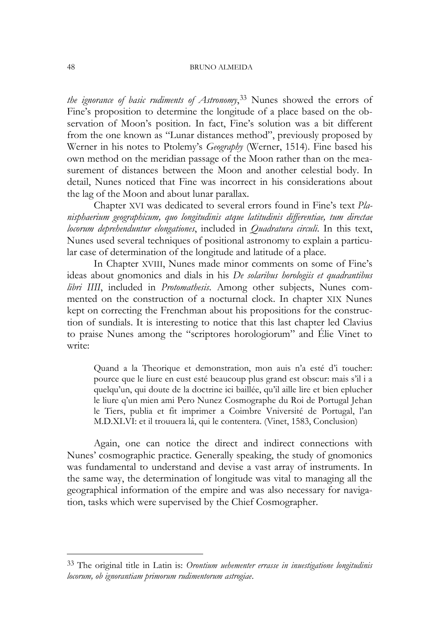*the ignorance of basic rudiments of Astronomy*, [33](#page-14-0) Nunes showed the errors of Fine's proposition to determine the longitude of a place based on the observation of Moon's position. In fact, Fine's solution was a bit different from the one known as "Lunar distances method", previously proposed by Werner in his notes to Ptolemy's *Geography* (Werner, 1514). Fine based his own method on the meridian passage of the Moon rather than on the measurement of distances between the Moon and another celestial body. In detail, Nunes noticed that Fine was incorrect in his considerations about the lag of the Moon and about lunar parallax.

Chapter XVI was dedicated to several errors found in Fine's text *Planisphaerium geographicum, quo longitudinis atque latitudinis differentiae, tum directae locorum deprehenduntur elongationes*, included in *Quadratura circuli*. In this text, Nunes used several techniques of positional astronomy to explain a particular case of determination of the longitude and latitude of a place.

In Chapter XVIII, Nunes made minor comments on some of Fine's ideas about gnomonics and dials in his *De solaribus horologiis et quadrantibus libri IIII*, included in *Protomathesis*. Among other subjects, Nunes commented on the construction of a nocturnal clock. In chapter XIX Nunes kept on correcting the Frenchman about his propositions for the construction of sundials. It is interesting to notice that this last chapter led Clavius to praise Nunes among the "scriptores horologiorum" and Élie Vinet to write:

Quand a la Theorique et demonstration, mon auis n'a esté d'i toucher: pource que le liure en eust esté beaucoup plus grand est obscur: mais s'il i a quelqu'un, qui doute de la doctrine ici baillée, qu'il aille lire et bien eplucher le liure q'un mien ami Pero Nunez Cosmographe du Roi de Portugal Jehan le Tiers, publia et fit imprimer a Coimbre Vniversité de Portugal, l'an M.D.XLVI: et il trouuera lá, qui le contentera. (Vinet, 1583, Conclusion)

Again, one can notice the direct and indirect connections with Nunes' cosmographic practice. Generally speaking, the study of gnomonics was fundamental to understand and devise a vast array of instruments. In the same way, the determination of longitude was vital to managing all the geographical information of the empire and was also necessary for navigation, tasks which were supervised by the Chief Cosmographer.

<span id="page-14-0"></span><sup>33</sup> The original title in Latin is: *Orontium uehementer errasse in inuestigatione longitudinis locorum, ob ignorantiam primorum rudimentorum astrogiae*.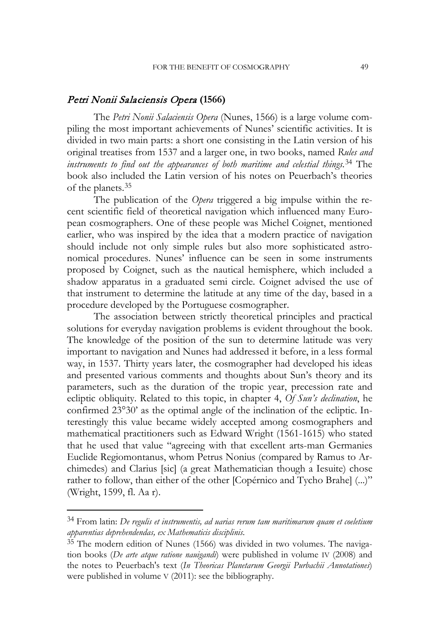# Petri Nonii Salaciensis Opera **(1566)**

The *Petri Nonii Salaciensis Opera* (Nunes, 1566) is a large volume compiling the most important achievements of Nunes' scientific activities. It is divided in two main parts: a short one consisting in the Latin version of his original treatises from 1537 and a larger one, in two books, named *Rules and instruments to find out the appearances of both maritime and celestial things.*[34](#page-15-0) The book also included the Latin version of his notes on Peuerbach's theories of the planets.[35](#page-15-0)

The publication of the *Opera* triggered a big impulse within the recent scientific field of theoretical navigation which influenced many European cosmographers. One of these people was Michel Coignet, mentioned earlier, who was inspired by the idea that a modern practice of navigation should include not only simple rules but also more sophisticated astronomical procedures. Nunes' influence can be seen in some instruments proposed by Coignet, such as the nautical hemisphere, which included a shadow apparatus in a graduated semi circle. Coignet advised the use of that instrument to determine the latitude at any time of the day, based in a procedure developed by the Portuguese cosmographer.

The association between strictly theoretical principles and practical solutions for everyday navigation problems is evident throughout the book. The knowledge of the position of the sun to determine latitude was very important to navigation and Nunes had addressed it before, in a less formal way, in 1537. Thirty years later, the cosmographer had developed his ideas and presented various comments and thoughts about Sun's theory and its parameters, such as the duration of the tropic year, precession rate and ecliptic obliquity. Related to this topic, in chapter 4, *Of Sun's declination*, he confirmed 23°30' as the optimal angle of the inclination of the ecliptic. Interestingly this value became widely accepted among cosmographers and mathematical practitioners such as Edward Wright (1561-1615) who stated that he used that value "agreeing with that excellent arts-man Germanies Euclide Regiomontanus, whom Petrus Nonius (compared by Ramus to Archimedes) and Clarius [sic] (a great Mathematician though a Iesuite) chose rather to follow, than either of the other [Copérnico and Tycho Brahe] (...)" (Wright, 1599, fl. Aa r).

 $\ddot{\phantom{a}}$ 

<span id="page-15-0"></span><sup>34</sup> From latin: *De regulis et instrumentis, ad uarias rerum tam maritimarum quam et coeletium apparentias deprehendendas, ex Mathematicis disciplinis*.

<sup>35</sup> The modern edition of Nunes (1566) was divided in two volumes. The navigation books (*De arte atque ratione nauigandi*) were published in volume IV (2008) and the notes to Peuerbach's text (*In Theoricas Planetarum Georgii Purbachii Annotationes*) were published in volume V (2011): see the bibliography.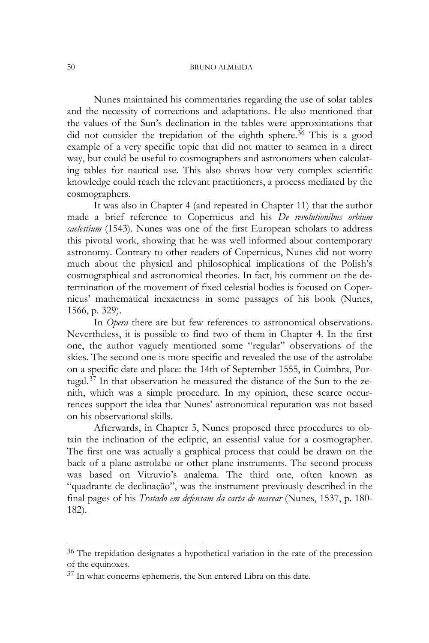Nunes maintained his commentaries regarding the use of solar tables and the necessity of corrections and adaptations. He also mentioned that the values of the Sun's declination in the tables were approximations that did not consider the trepidation of the eighth sphere.<sup>[36](#page-16-0)</sup> This is a good example of a very specific topic that did not matter to seamen in a direct way, but could be useful to cosmographers and astronomers when calculating tables for nautical use. This also shows how very complex scientific knowledge could reach the relevant practitioners, a process mediated by the cosmographers.

It was also in Chapter 4 (and repeated in Chapter 11) that the author made a brief reference to Copernicus and his *De revolutionibus orbium caelestium* (1543). Nunes was one of the first European scholars to address this pivotal work, showing that he was well informed about contemporary astronomy. Contrary to other readers of Copernicus, Nunes did not worry much about the physical and philosophical implications of the Polish's cosmographical and astronomical theories. In fact, his comment on the determination of the movement of fixed celestial bodies is focused on Copernicus' mathematical inexactness in some passages of his book (Nunes, 1566, p. 329).

In *Opera* there are but few references to astronomical observations. Nevertheless, it is possible to find two of them in Chapter 4. In the first one, the author vaguely mentioned some "regular" observations of the skies. The second one is more specific and revealed the use of the astrolabe on a specific date and place: the 14th of September 1555, in Coimbra, Portugal.[37](#page-16-0) In that observation he measured the distance of the Sun to the zenith, which was a simple procedure. In my opinion, these scarce occurrences support the idea that Nunes' astronomical reputation was not based on his observational skills.

Afterwards, in Chapter 5, Nunes proposed three procedures to obtain the inclination of the ecliptic, an essential value for a cosmographer. The first one was actually a graphical process that could be drawn on the back of a plane astrolabe or other plane instruments. The second process was based on Vitruvio's analema. The third one, often known as "quadrante de declinação", was the instrument previously described in the final pages of his *Tratado em defensam da carta de marear* (Nunes, 1537, p. 180- 182).

 $\ddot{\phantom{a}}$ 

<span id="page-16-0"></span><sup>36</sup> The trepidation designates a hypothetical variation in the rate of the precession of the equinoxes.

<sup>37</sup> In what concerns ephemeris, the Sun entered Libra on this date.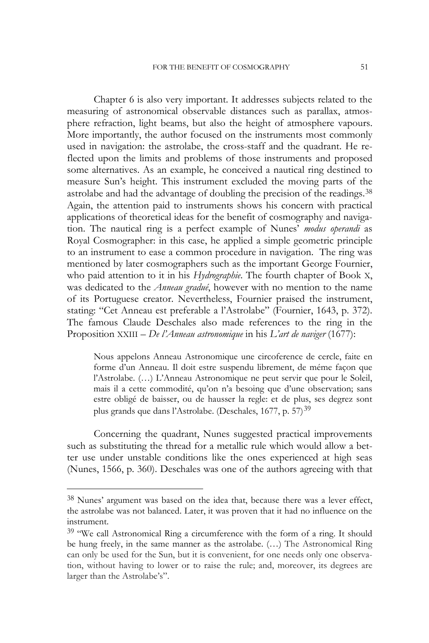Chapter 6 is also very important. It addresses subjects related to the measuring of astronomical observable distances such as parallax, atmosphere refraction, light beams, but also the height of atmosphere vapours. More importantly, the author focused on the instruments most commonly used in navigation: the astrolabe, the cross-staff and the quadrant. He reflected upon the limits and problems of those instruments and proposed some alternatives. As an example, he conceived a nautical ring destined to measure Sun's height. This instrument excluded the moving parts of the astrolabe and had the advantage of doubling the precision of the readings.<sup>[38](#page-17-0)</sup> Again, the attention paid to instruments shows his concern with practical applications of theoretical ideas for the benefit of cosmography and navigation. The nautical ring is a perfect example of Nunes' *modus operandi* as Royal Cosmographer: in this case, he applied a simple geometric principle to an instrument to ease a common procedure in navigation. The ring was mentioned by later cosmographers such as the important George Fournier, who paid attention to it in his *Hydrographie*. The fourth chapter of Book X, was dedicated to the *Anneau gradué*, however with no mention to the name of its Portuguese creator. Nevertheless, Fournier praised the instrument, stating: "Cet Anneau est preferable a l'Astrolabe" (Fournier, 1643, p. 372). The famous Claude Deschales also made references to the ring in the Proposition XXIII – *De l'Anneau astronomique* in his *L'art de naviger* (1677):

Nous appelons Anneau Astronomique une circoference de cercle, faite en forme d'un Anneau. Il doit estre suspendu librement, de méme façon que l'Astrolabe. (…) L'Anneau Astronomique ne peut servir que pour le Soleil, mais il a cette commodité, qu'on n'a besoing que d'une observation; sans estre obligé de baisser, ou de hausser la regle: et de plus, ses degrez sont plus grands que dans l'Astrolabe. (Deschales, 1677, p. 57)<sup>[39](#page-17-0)</sup>

Concerning the quadrant, Nunes suggested practical improvements such as substituting the thread for a metallic rule which would allow a better use under unstable conditions like the ones experienced at high seas (Nunes, 1566, p. 360). Deschales was one of the authors agreeing with that

-

<span id="page-17-0"></span><sup>38</sup> Nunes' argument was based on the idea that, because there was a lever effect, the astrolabe was not balanced. Later, it was proven that it had no influence on the instrument.

<sup>&</sup>lt;sup>39</sup> "We call Astronomical Ring a circumference with the form of a ring. It should be hung freely, in the same manner as the astrolabe. (…) The Astronomical Ring can only be used for the Sun, but it is convenient, for one needs only one observation, without having to lower or to raise the rule; and, moreover, its degrees are larger than the Astrolabe's".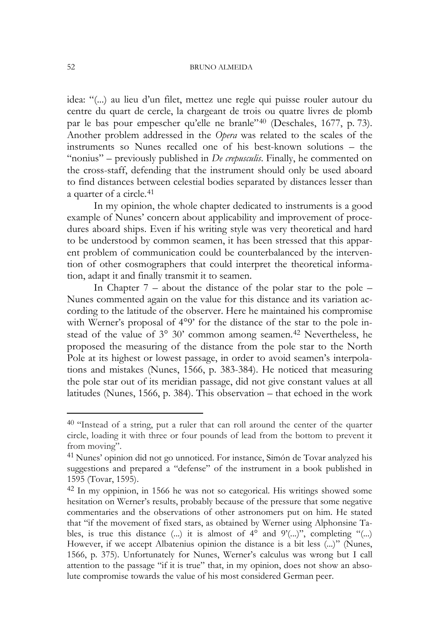idea: "(...) au lieu d'un filet, mettez une regle qui puisse rouler autour du centre du quart de cercle, la chargeant de trois ou quatre livres de plomb par le bas pour empescher qu'elle ne branle"[40](#page-18-0) (Deschales, 1677, p. 73). Another problem addressed in the *Opera* was related to the scales of the instruments so Nunes recalled one of his best-known solutions – the "nonius" – previously published in *De crepusculis*. Finally, he commented on the cross-staff, defending that the instrument should only be used aboard to find distances between celestial bodies separated by distances lesser than a quarter of a circle.<sup>[41](#page-18-0)</sup>

In my opinion, the whole chapter dedicated to instruments is a good example of Nunes' concern about applicability and improvement of procedures aboard ships. Even if his writing style was very theoretical and hard to be understood by common seamen, it has been stressed that this apparent problem of communication could be counterbalanced by the intervention of other cosmographers that could interpret the theoretical information, adapt it and finally transmit it to seamen.

In Chapter  $7$  – about the distance of the polar star to the pole – Nunes commented again on the value for this distance and its variation according to the latitude of the observer. Here he maintained his compromise with Werner's proposal of 4°9' for the distance of the star to the pole instead of the value of  $3^{\circ}$  30' common among seamen.<sup>[42](#page-18-0)</sup> Nevertheless, he proposed the measuring of the distance from the pole star to the North Pole at its highest or lowest passage, in order to avoid seamen's interpolations and mistakes (Nunes, 1566, p. 383-384). He noticed that measuring the pole star out of its meridian passage, did not give constant values at all latitudes (Nunes, 1566, p. 384). This observation – that echoed in the work

<span id="page-18-0"></span><sup>40</sup> "Instead of a string, put a ruler that can roll around the center of the quarter circle, loading it with three or four pounds of lead from the bottom to prevent it from moving".

<sup>41</sup> Nunes' opinion did not go unnoticed. For instance, Simón de Tovar analyzed his suggestions and prepared a "defense" of the instrument in a book published in 1595 (Tovar, 1595).

<sup>42</sup> In my oppinion, in 1566 he was not so categorical. His writings showed some hesitation on Werner's results, probably because of the pressure that some negative commentaries and the observations of other astronomers put on him. He stated that "if the movement of fixed stars, as obtained by Werner using Alphonsine Tables, is true this distance  $(...)$  it is almost of  $4^{\circ}$  and  $9'(...)$ ", completing " $(...)$ However, if we accept Albatenius opinion the distance is a bit less (...)" (Nunes, 1566, p. 375). Unfortunately for Nunes, Werner's calculus was wrong but I call attention to the passage "if it is true" that, in my opinion, does not show an absolute compromise towards the value of his most considered German peer.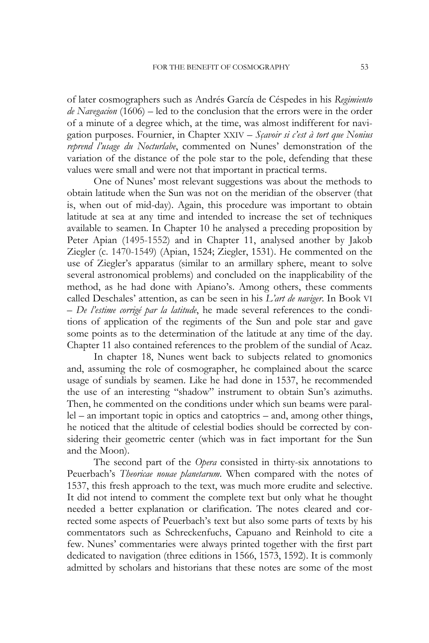of later cosmographers such as Andrés García de Céspedes in his *Regimiento de Navegacion* (1606) – led to the conclusion that the errors were in the order of a minute of a degree which, at the time, was almost indifferent for navigation purposes. Fournier, in Chapter XXIV – *Sçavoir si c'est à tort que Nonius reprend l'usage du Nocturlabe*, commented on Nunes' demonstration of the variation of the distance of the pole star to the pole, defending that these values were small and were not that important in practical terms.

One of Nunes' most relevant suggestions was about the methods to obtain latitude when the Sun was not on the meridian of the observer (that is, when out of mid-day). Again, this procedure was important to obtain latitude at sea at any time and intended to increase the set of techniques available to seamen. In Chapter 10 he analysed a preceding proposition by Peter Apian (1495-1552) and in Chapter 11, analysed another by Jakob Ziegler (c. 1470-1549) (Apian, 1524; Ziegler, 1531). He commented on the use of Ziegler's apparatus (similar to an armillary sphere, meant to solve several astronomical problems) and concluded on the inapplicability of the method, as he had done with Apiano's. Among others, these comments called Deschales' attention, as can be seen in his *L'art de naviger*. In Book VI – *De l'estime corrigé par la latitude*, he made several references to the conditions of application of the regiments of the Sun and pole star and gave some points as to the determination of the latitude at any time of the day. Chapter 11 also contained references to the problem of the sundial of Acaz.

In chapter 18, Nunes went back to subjects related to gnomonics and, assuming the role of cosmographer, he complained about the scarce usage of sundials by seamen. Like he had done in 1537, he recommended the use of an interesting "shadow" instrument to obtain Sun's azimuths. Then, he commented on the conditions under which sun beams were parallel – an important topic in optics and catoptrics – and, among other things, he noticed that the altitude of celestial bodies should be corrected by considering their geometric center (which was in fact important for the Sun and the Moon).

The second part of the *Opera* consisted in thirty-six annotations to Peuerbach's *Theoricae nouae planetarum*. When compared with the notes of 1537, this fresh approach to the text, was much more erudite and selective. It did not intend to comment the complete text but only what he thought needed a better explanation or clarification. The notes cleared and corrected some aspects of Peuerbach's text but also some parts of texts by his commentators such as Schreckenfuchs, Capuano and Reinhold to cite a few. Nunes' commentaries were always printed together with the first part dedicated to navigation (three editions in 1566, 1573, 1592). It is commonly admitted by scholars and historians that these notes are some of the most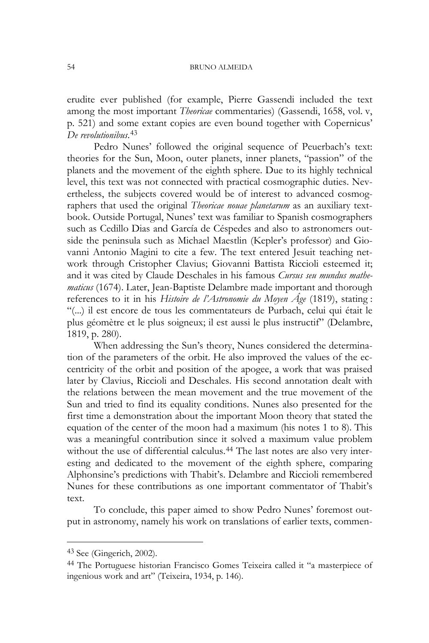erudite ever published (for example, Pierre Gassendi included the text among the most important *Theoricae* commentaries) (Gassendi, 1658, vol. v, p. 521) and some extant copies are even bound together with Copernicus' *De revolutionibus*. [43](#page-20-0)

Pedro Nunes' followed the original sequence of Peuerbach's text: theories for the Sun, Moon, outer planets, inner planets, "passion" of the planets and the movement of the eighth sphere. Due to its highly technical level, this text was not connected with practical cosmographic duties. Nevertheless, the subjects covered would be of interest to advanced cosmographers that used the original *Theoricae nouae planetarum* as an auxiliary textbook. Outside Portugal, Nunes' text was familiar to Spanish cosmographers such as Cedillo Dias and García de Céspedes and also to astronomers outside the peninsula such as Michael Maestlin (Kepler's professor) and Giovanni Antonio Magini to cite a few. The text entered Jesuit teaching network through Cristopher Clavius; Giovanni Battista Riccioli esteemed it; and it was cited by Claude Deschales in his famous *Cursus seu mundus mathematicus* (1674). Later, Jean-Baptiste Delambre made important and thorough references to it in his *Histoire de l'Astronomie du Moyen Âge* (1819), stating : "(...) il est encore de tous les commentateurs de Purbach, celui qui était le plus géomètre et le plus soigneux; il est aussi le plus instructif" (Delambre, 1819, p. 280).

When addressing the Sun's theory, Nunes considered the determination of the parameters of the orbit. He also improved the values of the eccentricity of the orbit and position of the apogee, a work that was praised later by Clavius, Riccioli and Deschales. His second annotation dealt with the relations between the mean movement and the true movement of the Sun and tried to find its equality conditions. Nunes also presented for the first time a demonstration about the important Moon theory that stated the equation of the center of the moon had a maximum (his notes 1 to 8). This was a meaningful contribution since it solved a maximum value problem without the use of differential calculus.<sup>[44](#page-20-0)</sup> The last notes are also very interesting and dedicated to the movement of the eighth sphere, comparing Alphonsine's predictions with Thabit's. Delambre and Riccioli remembered Nunes for these contributions as one important commentator of Thabit's text.

To conclude, this paper aimed to show Pedro Nunes' foremost output in astronomy, namely his work on translations of earlier texts, commen-

-

<span id="page-20-0"></span> $43$  See (Gingerich, 2002).

<sup>44</sup> The Portuguese historian Francisco Gomes Teixeira called it "a masterpiece of ingenious work and art" (Teixeira, 1934, p. 146).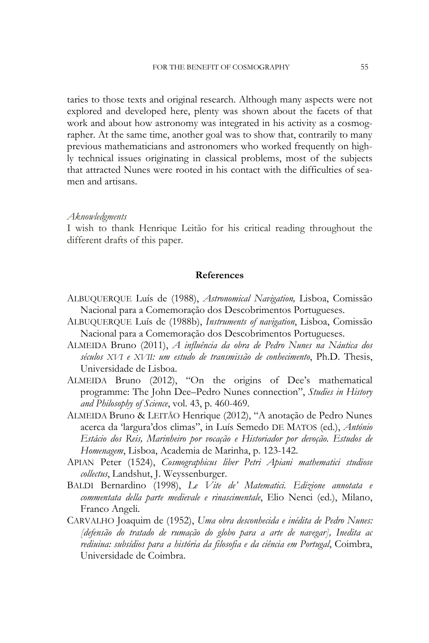taries to those texts and original research. Although many aspects were not explored and developed here, plenty was shown about the facets of that work and about how astronomy was integrated in his activity as a cosmographer. At the same time, another goal was to show that, contrarily to many previous mathematicians and astronomers who worked frequently on highly technical issues originating in classical problems, most of the subjects that attracted Nunes were rooted in his contact with the difficulties of seamen and artisans.

#### *Aknowledgments*

I wish to thank Henrique Leitão for his critical reading throughout the different drafts of this paper.

## **References**

- ALBUQUERQUE Luís de (1988), *Astronomical Navigation,* Lisboa, Comissão Nacional para a Comemoração dos Descobrimentos Portugueses.
- ALBUQUERQUE Luís de (1988b), *Instruments of navigation*, Lisboa, Comissão Nacional para a Comemoração dos Descobrimentos Portugueses.
- ALMEIDA Bruno (2011), *A influência da obra de Pedro Nunes na Náutica dos séculos XVI e XVII: um estudo de transmissão de conhecimento*, Ph.D. Thesis, Universidade de Lisboa.
- ALMEIDA Bruno (2012), "On the origins of Dee's mathematical programme: The John Dee–Pedro Nunes connection", *Studies in History and Philosophy of Science*, vol. 43, p. 460-469.
- ALMEIDA Bruno & LEITÃO Henrique (2012), "A anotação de Pedro Nunes acerca da 'largura'dos climas", in Luís Semedo DE MATOS (ed.), *António Estácio dos Reis, Marinheiro por vocação e Historiador por devoção. Estudos de Homenagem*, Lisboa, Academia de Marinha, p. 123-142.
- APIAN Peter (1524), *Cosmographicus liber Petri Apiani mathematici studiose collectus*, Landshut, J. Weyssenburger.
- BALDI Bernardino (1998), *Le Vite de' Matematici. Edizione annotata e commentata della parte medievale e rinascimentale*, Elio Nenci (ed.), Milano, Franco Angeli.
- CARVALHO Joaquim de (1952), *Uma obra desconhecida e inédita de Pedro Nunes: [defensão do tratado de rumação do globo para a arte de navegar], Inedita ac rediuiua: subsídios para a história da filosofia e da ciência em Portugal*, Coimbra, Universidade de Coimbra.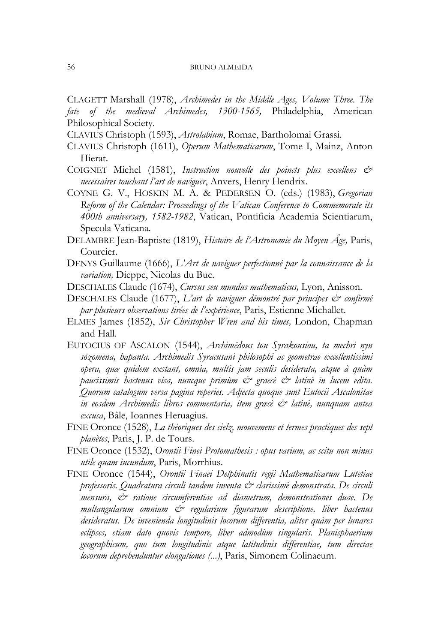CLAGETT Marshall (1978), *Archimedes in the Middle Ages, Volume Three. The fate of the medieval Archimedes, 1300-1565,* Philadelphia, American Philosophical Society.

CLAVIUS Christoph (1593), *Astrolabium*, Romae, Bartholomai Grassi.

- CLAVIUS Christoph (1611), *Operum Mathematicarum*, Tome I, Mainz, Anton Hierat.
- COIGNET Michel (1581), *Instruction nouvelle des poincts plus excellens & necessaires touchant l'art de naviguer*, Anvers, Henry Hendrix.
- COYNE G. V., HOSKIN M. A. & PEDERSEN O. (eds.) (1983), *[Gregorian](http://articles.adsabs.harvard.edu/full/book/grc../1983/0000001,001.html)  [Reform of the Calendar: Proceedings of the Vatican Conference to Commemorate its](http://articles.adsabs.harvard.edu/full/book/grc../1983/0000001,001.html)  [400th anniversary, 1582-1982](http://articles.adsabs.harvard.edu/full/book/grc../1983/0000001,001.html)*, Vatican, Pontificia Academia Scientiarum, Specola Vaticana.
- DELAMBRE Jean-Baptiste (1819), *Histoire de l'Astronomie du Moyen Âge,* Paris, Courcier.
- DENYS Guillaume (1666), *L'Art de naviguer perfectionné par la connaissance de la variation,* Dieppe, Nicolas du Buc.
- DESCHALES Claude (1674), *Cursus seu mundus mathematicus,* Lyon, Anisson.
- DESCHALES Claude (1677), *L'art de naviguer démontré par principes & confirmé par plusieurs observations tirées de l'expérience*, Paris, Estienne Michallet.
- ELMES James (1852), *Sir Christopher Wren and his times,* London, Chapman and Hall.
- EUTOCIUS OF ASCALON (1544), *Archimēdous tou Syrakousiou, ta mechri nyn sōzomena, hapanta. Archimedis Syracusani philosophi ac geometrae excellentissimi opera, quæ quidem exstant, omnia, multis jam seculis desiderata, atque à quàm paucissimis hactenus visa, nuncque primùm & graecè & latinè in lucem edita. Quorum catalogum versa pagina reperies. Adjecta quoque sunt Eutocii Ascalonitae in eosdem Archimedis libros commentaria, item græcè & latinè, nunquam antea excusa*, Bâle, Ioannes Heruagius.
- FINE Oronce (1528), *La théoriques des cielz, mouvemens et termes practiques des sept planètes*, Paris, J. P. de Tours.
- FINE Oronce (1532), *Orontii Finei Protomathesis : opus varium, ac scitu non minus utile quam iucundum*, Paris, Morrhius.
- FINE Oronce (1544), *Orontii Finaei Delphinatis regii Mathematicarum Lutetiae professoris. Quadratura circuli tandem inventa & clarissimè demonstrata. De circuli mensura, & ratione circumferentiae ad diametrum, demonstrationes duae. De multangularum omnium & regularium figurarum descriptione, liber hactenus desideratus. De invenienda longitudinis locorum differentia, aliter quàm per lunares eclipses, etiam dato quovis tempore, liber admodùm singularis. Planisphaerium geographicum, quo tum longitudinis atque latitudinis differentiae, tum directae locorum deprehenduntur elongationes (...)*, Paris, Simonem Colinaeum.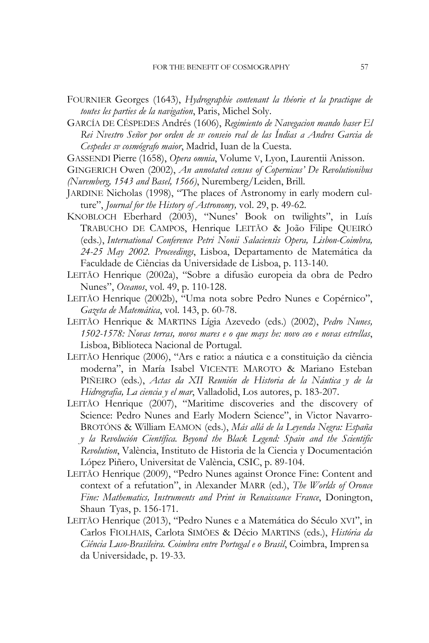- FOURNIER Georges (1643), *Hydrographie contenant la théorie et la practique de toutes les parties de la navigation*, Paris, Michel Soly.
- GARCÍA DE CÉSPEDES Andrés (1606), *Regimiento de Navegacion mando haser El Rei Nvestro Señor por orden de sv conseio real de las Índias a Andres Garcia de Cespedes sv cosmógrafo maior*, Madrid, Iuan de la Cuesta.
- GASSENDI Pierre (1658), *Opera omnia*, Volume V, Lyon, Laurentii Anisson.
- GINGERICH Owen (2002), *An annotated census of Copernicus' De Revolutionibus (Nuremberg, 1543 and Basel, 1566)*, Nuremberg/Leiden, Brill.
- JARDINE Nicholas (1998), "The places of Astronomy in early modern culture", *Journal for the History of Astronomy,* vol. 29, p. 49-62.
- KNOBLOCH Eberhard (2003), "Nunes' Book on twilights", in Luís TRABUCHO DE CAMPOS, Henrique LEITÃO & João Filipe QUEIRÓ (eds.), *International Conference Petri Nonii Salaciensis Opera, Lisbon-Coimbra, 24-25 May 2002. Proceedings*, Lisboa, Departamento de Matemática da Faculdade de Ciências da Universidade de Lisboa, p. 113-140.
- LEITÃO Henrique (2002a), "Sobre a difusão europeia da obra de Pedro Nunes", *Oceanos*, vol. 49, p. 110-128.
- LEITÃO Henrique (2002b), "Uma nota sobre Pedro Nunes e Copérnico", *Gazeta de Matemática*, vol. 143, p. 60-78.
- LEITÃO Henrique & MARTINS Lígia Azevedo (eds.) (2002), *Pedro Nunes, 1502-1578: Novas terras, novos mares e o que mays he: novo ceo e novas estrellas*, Lisboa, Biblioteca Nacional de Portugal.
- LEITÃO Henrique (2006), "Ars e ratio: a náutica e a constituição da ciência moderna", in María Isabel VICENTE MAROTO & Mariano Esteban PIÑEIRO (eds.), *Actas da XII Reunión de Historia de la Náutica y de la Hidrografia, La ciencia y el mar*, Valladolid, Los autores, p. 183-207.
- LEITÃO Henrique (2007), "Maritime discoveries and the discovery of Science: Pedro Nunes and Early Modern Science", in Victor Navarro-BROTÓNS & William EAMON (eds.), *Más allá de la Leyenda Negra: España y la Revolución Científica. Beyond the Black Legend: Spain and the Scientific Revolution*, València, Instituto de Historia de la Ciencia y Documentación López Piñero, Universitat de València, CSIC, p. 89-104.
- LEITÃO Henrique (2009), "Pedro Nunes against Oronce Fine: Content and context of a refutation", in Alexander MARR (ed.), *The Worlds of Oronce Fine: Mathematics, Instruments and Print in Renaissance France*, Donington, Shaun Tyas, p. 156-171.
- LEITÃO Henrique (2013), "Pedro Nunes e a Matemática do Século XVI", in Carlos FIOLHAIS, Carlota SIMÕES & Décio MARTINS (eds.), *História da Ciência Luso-Brasileira. Coimbra entre Portugal e o Brasil*, Coimbra, Imprensa da Universidade, p. 19-33.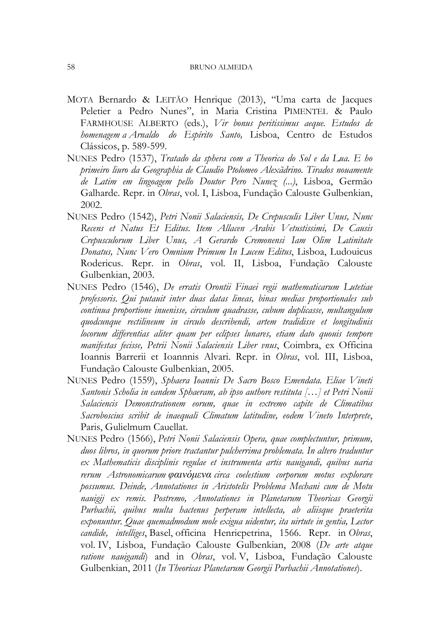- MOTA Bernardo & LEITÃO Henrique (2013), "Uma carta de Jacques Peletier a Pedro Nunes", in Maria Cristina PIMENTEL & Paulo FARMHOUSE ALBERTO (eds.), *Vir bonus peritissimus aeque. Estudos de homenagem a Arnaldo do Espírito Santo,* Lisboa, Centro de Estudos Clássicos, p. 589-599.
- NUNES Pedro (1537), *Tratado da sphera com a Theorica do Sol e da Lua. E ho primeiro liuro da Geographia de Claudio Ptolomeo Alexãdrino. Tirados nouamente de Latim em lingoagem pello Doutor Pero Nunez (...)*, Lisboa, Germão Galharde. Repr. in *Obras*, vol. I, Lisboa, Fundação Calouste Gulbenkian, 2002.
- NUNES Pedro (1542), *Petri Nonii Salaciensis, De Crepusculis Liber Unus, Nunc Recens et Natus Et Editus. Item Allacen Arabis Vetustissimi, De Causis Crepusculorum Liber Unus, A Gerardo Cremonensi Iam Olim Latinitate Donatus, Nunc Vero Omnium Primum In Lucem Editus*, Lisboa, Ludouicus Rodericus. Repr. in *Obras*, vol. II, Lisboa, Fundação Calouste Gulbenkian, 2003.
- NUNES Pedro (1546), *De erratis Orontii Finaei regii mathematicarum Lutetiae professoris. Qui putauit inter duas datas lineas, binas medias proportionales sub continua proportione inuenisse, circulum quadrasse, cubum duplicasse, multangulum quodcunque rectilineum in circulo describendi, artem tradidisse et longitudinis locorum differentias aliter quam per eclipses lunares, etiam dato quouis tempore manifestas fecisse, Petrii Nonii Salaciensis Liber vnus*, Coimbra, ex Officina Ioannis Barrerii et Ioannnis Alvari. Repr. in *Obras*, vol. III, Lisboa, Fundação Calouste Gulbenkian, 2005.
- NUNES Pedro (1559), *Sphaera Ioannis De Sacro Bosco Emendata. Eliae Vineti Santonis Scholia in eandem Sphaeram, ab ipso authore restituta […] et Petri Nonii Salaciencis Demonstrationem eorum, quae in extremo capite de Climatibus Sacroboscius scribit de inaequali Climatum latitudine, eodem Vineto Interprete*, Paris, Gulielmum Cauellat.
- NUNES Pedro (1566), *Petri Nonii Salaciensis Opera, quae complectuntur, primum, duos libros, in quorum priore tractantur pulcherrima problemata. In altero traduntur ex Mathematicis disciplinis regulae et instrumenta artis nauigandi, quibus uaria rerum Astronomicarum φαινόμενα circa coelestium corporum motus explorare possumus. Deinde, Annotationes in Aristotelis Problema Mechani cum de Motu nauigij ex remis. Postremo, Annotationes in Planetarum Theoricas Georgii Purbachii, quibus multa hactenus perperam intellecta, ab aliisque praeterita exponuntur. Quae quemadmodum mole exigua uidentur, ita uirtute in gentia, Lector candide, intelliges*, Basel, officina Henricpetrina, 1566. Repr. in *Obras*, vol. IV, Lisboa, Fundação Calouste Gulbenkian, 2008 (*De arte atque ratione nauigandi*) and in *Obras*, vol. V, Lisboa, Fundação Calouste Gulbenkian, 2011 (*In Theoricas Planetarum Georgii Purbachii Annotationes*).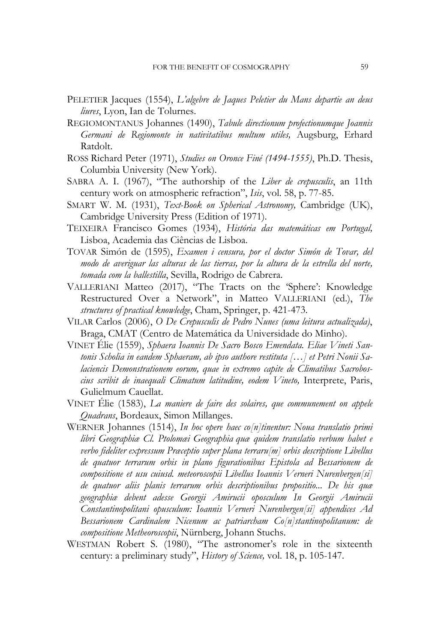- PELETIER Jacques (1554), *L'algebre de Jaques Peletier du Mans departie an deus liures*, Lyon, Ian de Tolurnes.
- REGIOMONTANUS Johannes (1490), *Tabule directionum profectionumque Joannis Germani de Regiomonte in nativitatibus multum utiles,* Augsburg, Erhard Ratdolt.
- ROSS Richard Peter (1971), *Studies on Oronce Finé (1494-1555)*, Ph.D. Thesis, Columbia University (New York).
- SABRA A. I. (1967), "The authorship of the *Liber de crepusculis*, an 11th century work on atmospheric refraction", *Isis*, vol. 58, p. 77-85.
- SMART W. M. (1931), *Text-Book on Spherical Astronomy,* Cambridge (UK), Cambridge University Press (Edition of 1971).
- TEIXEIRA Francisco Gomes (1934), *História das matemáticas em Portugal,*  Lisboa, Academia das Ciências de Lisboa.
- TOVAR Simón de (1595), *Examen i censura, por el doctor Simón de Tovar, del modo de averiguar las alturas de las tierras, por la altura de la estrella del norte, tomada com la ballestilla*, Sevilla, Rodrigo de Cabrera.
- VALLERIANI Matteo (2017), "The Tracts on the 'Sphere': Knowledge Restructured Over a Network", in Matteo VALLERIANI (ed.), *The structures of practical knowledge*, Cham, Springer, p. 421-473.
- VILAR Carlos (2006), *O De Crepusculis de Pedro Nunes (uma leitura actualizada)*, Braga, CMAT (Centro de Matemática da Universidade do Minho).
- VINET Élie (1559), *Sphaera Ioannis De Sacro Bosco Emendata. Eliae Vineti Santonis Scholia in eandem Sphaeram, ab ipso authore restituta […] et Petri Nonii Salaciencis Demonstrationem eorum, quae in extremo capite de Climatibus Sacroboscius scribit de inaequali Climatum latitudine, eodem Vineto,* Interprete, Paris, Gulielmum Cauellat.
- VINET Élie (1583), *La maniere de faire des solaires, que communement on appele Quadrans*, Bordeaux, Simon Millanges.
- WERNER Johannes (1514), *In hoc opere haec co[n]tinentur: Noua translatio primi libri Geographiæ Cl. Ptolomæi Geographia quæ quidem translatio verbum habet e verbo fideliter expressum Præceptio super plana terraru[m] orbis descriptione Libellus de quatuor terrarum orbis in plano figurationibus Epistola ad Bessarionem de compositione et usu cuiusd. meteoroscopii Libellus Ioannis Verneri Nurenbergen[si] de quatuor aliis planis terrarum orbis descriptionibus propositio... De his quæ geographiæ debent adesse Georgii Amirucii oposculum In Georgii Amirucii Constantinopolitani opusculum: Ioannis Verneri Nurenbergen[si] appendices Ad Bessarionem Cardinalem Nicenum ac patriarcham Co[n]stantinopolitanum: de compositione Metheoroscopii*, Nürnberg, Johann Stuchs.
- WESTMAN Robert S. (1980), "The astronomer's role in the sixteenth century: a preliminary study", *History of Science,* vol. 18, p. 105-147.